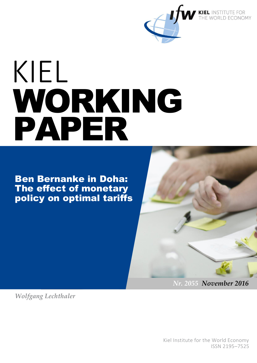

# KIEL WORKING PAPER

Ben Bernanke in Doha: The effect of monetary policy on optimal tariffs



*Wolfgang Lechthaler* 

Kiel Institute for the World Economy ISSN 2195–7525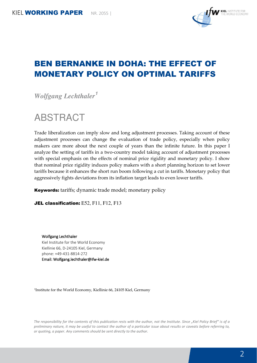

# BEN BERNANKE IN DOHA: THE EFFECT OF MONETARY POLICY ON OPTIMAL TARIFFS

*Wolfgang Lechthaler<sup>1</sup>*

ABSTRACT

Trade liberalization can imply slow and long adjustment processes. Taking account of these adjustment processes can change the evaluation of trade policy, especially when policy makers care more about the next couple of years than the infinite future. In this paper I analyze the setting of tariffs in a two-country model taking account of adjustment processes with special emphasis on the effects of nominal price rigidity and monetary policy. I show that nominal price rigidity induces policy makers with a short planning horizon to set lower tariffs because it enhances the short run boom following a cut in tariffs. Monetary policy that aggressively fights deviations from its inflation target leads to even lower tariffs.

Keywords: tariffs; dynamic trade model; monetary policy

JEL classification: E52, F11, F12, F13

Wolfgang Lechthaler Kiel Institute for the World Economy Kiellinie 66, D-24105 Kiel, Germany phone: +49-431-8814-272 Email: Wolfgang.lechthaler@ifw-kiel.de

1 Institute for the World Economy, Kiellinie 66, 24105 Kiel, Germany

*The responsibility for the contents of this publication rests with the author, not the Institute. Since "Kiel Policy Brief" is of a preliminary nature, it may be useful to contact the author of a particular issue about results or caveats before referring to, or quoting, a paper. Any comments should be sent directly to the author.*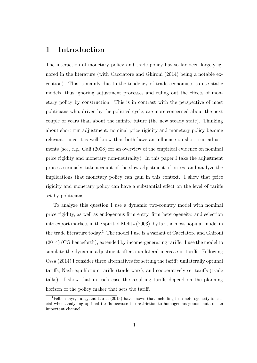## 1 Introduction

The interaction of monetary policy and trade policy has so far been largely ignored in the literature (with Cacciatore and Ghironi (2014) being a notable exception). This is mainly due to the tendency of trade economists to use static models, thus ignoring adjustment processes and ruling out the effects of monetary policy by construction. This is in contrast with the perspective of most politicians who, driven by the political cycle, are more concerned about the next couple of years than about the infinite future (the new steady state). Thinking about short run adjustment, nominal price rigidity and monetary policy become relevant, since it is well know that both have an influence on short run adjustments (see, e.g., Gali (2008) for an overview of the empirical evidence on nominal price rigidity and monetary non-neutrality). In this paper I take the adjustment process seriously, take account of the slow adjustment of prices, and analyze the implications that monetary policy can gain in this context. I show that price rigidity and monetary policy can have a substantial effect on the level of tariffs set by politicians.

To analyze this question I use a dynamic two-country model with nominal price rigidity, as well as endogenous firm entry, firm heterogeneity, and selection into export markets in the spirit of Melitz (2003), by far the most popular model in the trade literature today.<sup>1</sup> The model I use is a variant of Cacciatore and Ghironi (2014) (CG henceforth), extended by income-generating tariffs. I use the model to simulate the dynamic adjustment after a unilateral increase in tariffs. Following Ossa (2014) I consider three alternatives for setting the tariff: unilaterally optimal tariffs, Nash-equilibrium tariffs (trade wars), and cooperatively set tariffs (trade talks). I show that in each case the resulting tariffs depend on the planning horizon of the policy maker that sets the tariff.

<sup>&</sup>lt;sup>1</sup>Felbermayr, Jung, and Larch  $(2013)$  have shown that including firm heterogeneity is crucial when analyzing optimal tariffs because the restriction to homogenous goods shuts off an important channel.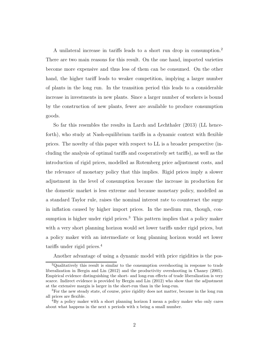A unilateral increase in tariffs leads to a short run drop in consumption.<sup>2</sup> There are two main reasons for this result. On the one hand, imported varieties become more expensive and thus less of them can be consumed. On the other hand, the higher tariff leads to weaker competition, implying a larger number of plants in the long run. In the transition period this leads to a considerable increase in investments in new plants. Since a larger number of workers is bound by the construction of new plants, fewer are available to produce consumption goods.

So far this resembles the results in Larch and Lechthaler (2013) (LL henceforth), who study at Nash-equilibrium tariffs in a dynamic context with flexible prices. The novelty of this paper with respect to LL is a broader perspective (including the analysis of optimal tariffs and cooperatively set tariffs), as well as the introduction of rigid prices, modelled as Rotemberg price adjustment costs, and the relevance of monetary policy that this implies. Rigid prices imply a slower adjustment in the level of consumption because the increase in production for the domestic market is less extreme and because monetary policy, modelled as a standard Taylor rule, raises the nominal interest rate to counteract the surge in inflation caused by higher import prices. In the medium run, though, consumption is higher under rigid prices.<sup>3</sup> This pattern implies that a policy maker with a very short planning horizon would set lower tariffs under rigid prices, but a policy maker with an intermediate or long planning horizon would set lower tariffs under rigid prices.<sup>4</sup>

Another advantage of using a dynamic model with price rigidities is the pos-

<sup>2</sup>Qualitatively this result is similar to the consumption overshooting in response to trade liberalization in Bergin and Lin (2012) and the productivity overshooting in Chaney (2005). Empirical evidence distinguishing the short- and long-run effects of trade liberalization is very scarce. Indirect evidence is provided by Bergin and Lin (2012) who show that the adjustment at the extensive margin is larger in the short-run than in the long-run.

<sup>3</sup>For the new steady state, of course, price rigidity does not matter, because in the long run all prices are flexible.

<sup>4</sup>By a policy maker with a short planning horizon I mean a policy maker who only cares about what happens in the next x periods with x being a small number.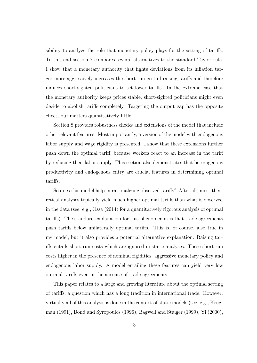sibility to analyze the role that monetary policy plays for the setting of tariffs. To this end section 7 compares several alternatives to the standard Taylor rule. I show that a monetary authority that fights deviations from its inflation target more aggressively increases the short-run cost of raising tariffs and therefore induces short-sighted politicians to set lower tariffs. In the extreme case that the monetary authority keeps prices stable, short-sighted politicians might even decide to abolish tariffs completely. Targeting the output gap has the opposite effect, but matters quantitatively little.

Section 8 provides robustness checks and extensions of the model that include other relevant features. Most importantly, a version of the model with endogenous labor supply and wage rigidity is presented. I show that these extensions further push down the optimal tariff, because workers react to an increase in the tariff by reducing their labor supply. This section also demonstrates that heterogenous productivity and endogenous entry are crucial features in determining optimal tariffs.

So does this model help in rationalizing observed tariffs? After all, most theoretical analyses typically yield much higher optimal tariffs than what is observed in the data (see, e.g., Ossa (2014) for a quantitatively rigorous analysis of optimal tariffs). The standard explanation for this phenomenon is that trade agreements push tariffs below unilaterally optimal tariffs. This is, of course, also true in my model, but it also provides a potential alternative explanation. Raising tariffs entails short-run costs which are ignored in static analyses. These short run costs higher in the presence of nominal rigidities, aggressive monetary policy and endogenous labor supply. A model entailing these features can yield very low optimal tariffs even in the absence of trade agreements.

This paper relates to a large and growing literature about the optimal setting of tariffs, a question which has a long tradition in international trade. However, virtually all of this analysis is done in the context of static models (see, e.g., Krugman (1991), Bond and Syropoulos (1996), Bagwell and Staiger (1999), Yi (2000),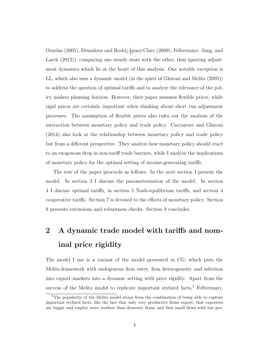Ornelas (2005), Demidova and Rodri $\frac{1}{2}$ guez-Clare (2009), Felbermayr, Jung, and Larch (2012)), comparing one steady state with the other, thus ignoring adjustment dynamics which lie at the heart of this analysis. One notable exception is LL, which also uses a dynamic model (in the spirit of Ghironi and Melitz (2005)) to address the question of optimal tariffs and to analyze the relevance of the policy makers planning horizon. However, their paper assumes flexible prices, while rigid prices are certainly important when thinking about short run adjustment processes. The assumption of flexible prices also rules out the analysis of the interaction between monetary policy and trade policy. Cacciatore and Ghironi (2014) also look at the relationship between monetary policy and trade policy but from a different perspective. They analyze how monetary policy should react to an exogenous drop in non-tariff trade barriers, while I analyze the implications of monetary policy for the optimal setting of income-generating tariffs.

The rest of the paper proceeds as follows. In the next section I present the model. In section 3 I discuss the parameterization of the model. In section 4 I discuss optimal tariffs, in section 5 Nash-equilibrium tariffs, and section 4 cooperative tariffs. Section 7 is devoted to the effects of monetary policy. Section 8 presents extensions and robustness checks. Section 9 concludes.

# 2 A dynamic trade model with tariffs and nominal price rigidity

The model I use is a variant of the model presented in CG, which puts the Melitz-framework with endogenous firm entry, firm heterogeneity and selection into export markets into a dynamic setting with price rigidity. Apart from the success of the Melitz model to replicate important stylized facts, $5$  Felbermayr,

<sup>&</sup>lt;sup>5</sup>The popularity of the Melitz model stems from the combination of being able to capture important stylized facts, like the fact that only very productive firms export, that exporters are bigger and employ more workers than domestic firms, and that small firms with low pro-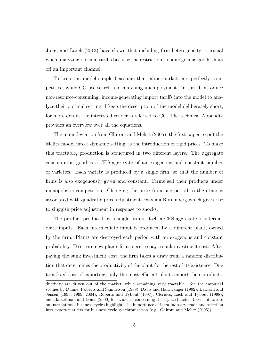Jung, and Larch (2013) have shown that including firm heterogeneity is crucial when analyzing optimal tariffs because the restriction to homogenous goods shuts off an important channel.

To keep the model simple I assume that labor markets are perfectly competitive, while CG use search and matching unemployment. In turn I introduce non-resource-consuming, income-generating import tariffs into the model to analyze their optimal setting. I keep the description of the model deliberately short, for more details the interested reader is referred to CG. The technical Appendix provides an overview over all the equations.

The main deviation from Ghironi and Melitz (2005), the first paper to put the Melitz model into a dynamic setting, is the introduction of rigid prices. To make this tractable, production is structured in two different layers. The aggregate consumption good is a CES-aggregate of an exogenous and constant number of varieties. Each variety is produced by a single firm, so that the number of firms is also exogenously given and constant. Firms sell their products under monopolistic competition. Changing the price from one period to the other is associated with quadratic price adjustment costs ala Rotemberg which gives rise to sluggish price adjustment in response to shocks.

The product produced by a single firm is itself a CES-aggregate of intermediate inputs. Each intermediate input is produced by a different plant, owned by the firm. Plants are destroyed each period with an exogenous and constant probability. To create new plants firms need to pay a sunk investment cost. After paying the sunk investment cost, the firm takes a draw from a random distribution that determines the productivity of the plant for the rest of its existence. Due to a fixed cost of exporting, only the most efficient plants export their products.

ductivity are driven out of the market, while remaining very tractable. See the empirical studies by Dunne, Roberts and Samuelson (1989); Davis and Haltiwanger (1992); Bernard and Jensen (1995, 1999, 2004); Roberts and Tybout (1997); Clerides, Lach and Tybout (1998); and Bartelsman and Doms (2000) for evidence concerning the stylized facts. Recent literature on international business cycles highlights the importance of intra-industry trade and selection into export markets for business cycle synchronization (e.g., Ghironi and Melitz (2005)).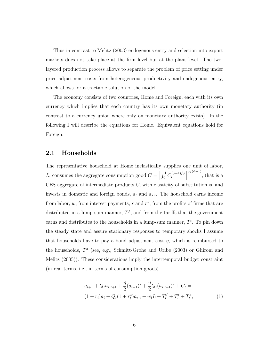Thus in contrast to Melitz (2003) endogenous entry and selection into export markets does not take place at the firm level but at the plant level. The twolayered production process allows to separate the problem of price setting under price adjustment costs from heterogeneous productivity and endogenous entry, which allows for a tractable solution of the model.

The economy consists of two countries, Home and Foreign, each with its own currency which implies that each country has its own monetary authority (in contrast to a currency union where only on monetary authority exists). In the following I will describe the equations for Home. Equivalent equations hold for Foreign.

#### 2.1 Households

The representative household at Home inelastically supplies one unit of labor, L, consumes the aggregate consumption good  $C = \int_0^1 C_i^{(\phi-1)/\phi}$  $\left\langle \begin{array}{c} \frac{1}{\phi} \\ i \end{array} \right\rangle$   $\left\langle \begin{array}{c} \frac{1}{\phi} \\ i \end{array} \right\rangle$  and  $\left\langle \begin{array}{c} \frac{1}{\phi} \\ \frac{1}{\phi} \end{array} \right\rangle$  that is a CES aggregate of intermediate products  $C_i$  with elasticity of substitution  $\phi$ , and invests in domestic and foreign bonds,  $a_t$  and  $a_{*,t}$ . The household earns income from labor,  $w$ , from interest payments,  $r$  and  $r^*$ , from the profits of firms that are distributed in a lump-sum manner,  $T<sup>f</sup>$ , and from the tariffs that the government earns and distributes to the households in a lump-sum manner,  $T<sup>t</sup>$ . To pin down the steady state and assure stationary responses to temporary shocks I assume that households have to pay a bond adjustment cost  $\eta$ , which is reimbursed to the households,  $T^a$  (see, e.g., Schmitt-Grohe and Uribe (2003) or Ghironi and Melitz (2005)). These considerations imply the intertemporal budget constraint (in real terms, i.e., in terms of consumption goods)

$$
a_{t+1} + Q_t a_{*,t+1} + \frac{\eta}{2} (a_{t+1})^2 + \frac{\eta}{2} Q_t (a_{*,t+1})^2 + C_t =
$$
  

$$
(1 + r_t)a_t + Q_t (1 + r_t^*) a_{*,t} + w_t L + T_t^f + T_t^t + T_t^a,
$$
 (1)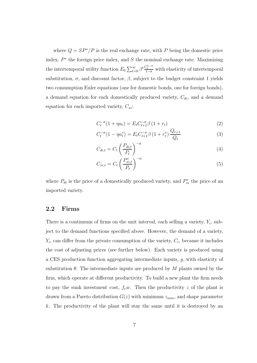where  $Q = SP^*/P$  is the real exchange rate, with P being the domestic price index,  $P^*$  the foreign price index, and S the nominal exchange rate. Maximizing the intertemporal utility function  $E_0 \sum_{t=0}^{\infty} \beta^t \frac{C_t^{1-\sigma}}{1-\sigma}$  with elasticity of intertemporal substitution,  $\sigma$ , and discount factor,  $\beta$ , subject to the budget constraint 1 yields two consumption Euler equations (one for domestic bonds, one for foreign bonds), a demand equation for each domestically produced variety,  $C_{di}$ , and a demand equation for each imported variety,  $C_{xi}$ :

$$
C_t^{-\sigma}(1 + \eta a_t) = E_t C_{t+1}^{-\sigma} \beta (1 + r_t)
$$
\n(2)

$$
C_t^{-\sigma}(1 - \eta a_t^*) = E_t C_{t+1}^{-\sigma} \beta (1 + r_t^*) \frac{Q_{t+1}}{Q_t}
$$
 (3)

$$
C_{di,t} = C_t \left(\frac{P_{di,t}}{P_t}\right)^{-\phi} \tag{4}
$$

$$
C_{xi,t} = C_t \left(\frac{P_{xi,t}^*}{P_t}\right)^{-\phi} \tag{5}
$$

where  $P_{di}$  is the price of a domestically produced variety, and  $P_{xi}^*$  the price of an imported variety.

#### 2.2 Firms

There is a continuum of firms on the unit interval, each selling a variety,  $Y_i$ , subject to the demand functions specified above. However, the demand of a variety,  $Y_i$ , can differ from the private consumption of the variety,  $C_i$ , because it includes the cost of adjusting prices (see further below). Each variety is produced using a CES production function aggregating intermediate inputs, y, with elasticity of substitution  $\theta$ . The intermediate inputs are produced by M plants owned by the firm, which operate at different productivity. To build a new plant the firm needs to pay the sunk investment cost,  $f_{e}w$ . Then the productivity z of the plant is drawn from a Pareto distribution  $G(z)$  with minimum  $z_{min}$ , and shape parameter k. The productivity of the plant will stay the same until it is destroyed by an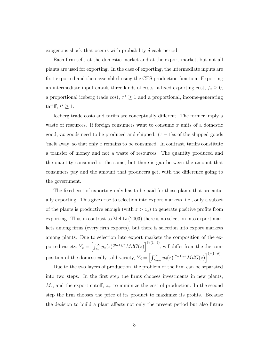exogenous shock that occurs with probability  $\delta$  each period.

Each firm sells at the domestic market and at the export market, but not all plants are used for exporting. In the case of exporting, the intermediate inputs are first exported and then assembled using the CES production function. Exporting an intermediate input entails three kinds of costs: a fixed exporting cost,  $f_x \geq 0$ , a proportional iceberg trade cost,  $\tau^* \geq 1$  and a proportional, income-generating tariff,  $t^* \geq 1$ .

Iceberg trade costs and tariffs are conceptually different. The former imply a waste of resources. If foreign consumers want to consume  $x$  units of a domestic good,  $\tau x$  goods need to be produced and shipped.  $(\tau - 1)x$  of the shipped goods 'melt away' so that only  $x$  remains to be consumed. In contrast, tariffs constitute a transfer of money and not a waste of resources. The quantity produced and the quantity consumed is the same, but there is gap between the amount that consumers pay and the amount that producers get, with the difference going to the government.

The fixed cost of exporting only has to be paid for those plants that are actually exporting. This gives rise to selection into export markets, i.e., only a subset of the plants is productive enough (with  $z > z_x$ ) to generate positive profits from exporting. Thus in contrast to Melitz (2003) there is no selection into export markets among firms (every firm exports), but there is selection into export markets among plants. Due to selection into export markets the composition of the exported variety,  $Y_x = \left[\int_{z_x}^{\infty} y_x(z)^{(\theta-1)/\theta} M dG(z)\right]^{\theta/(1-\theta)}$ , will differ from the the composition of the domestically sold variety,  $Y_d = \left[\int_{z_{min}}^{\infty} y_d(z)^{(\theta-1)/\theta} MdG(z)\right]^{\theta/(1-\theta)}$ .

Due to the two layers of production, the problem of the firm can be separated into two steps. In the first step the firms chooses investments in new plants,  $M_e$ , and the export cutoff,  $z_x$ , to minimize the cost of production. In the second step the firm chooses the price of its product to maximize its profits. Because the decision to build a plant affects not only the present period but also future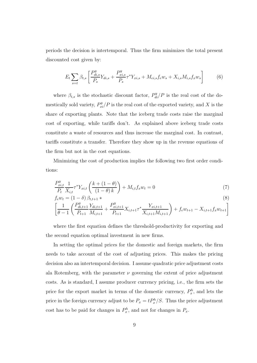periods the decision is intertemporal. Thus the firm minimizes the total present discounted cost given by:

$$
E_t \sum_{s=t} \beta_{t,s} \left[ \frac{P_{di,s}^y}{P_s} Y_{di,s} + \frac{P_{xi,s}^y}{P_s} \tau^* Y_{xi,s} + M_{ei,s} f_e w_s + X_{i,s} M_{i,s} f_x w_s \right]
$$
(6)

where  $\beta_{t,s}$  is the stochastic discount factor,  $P_{di}^y/P$  is the real cost of the domestically sold variety,  $P_{xi}^{y}/P$  is the real cost of the exported variety, and X is the share of exporting plants. Note that the iceberg trade costs raise the marginal cost of exporting, while tariffs don't. As explained above iceberg trade costs constitute a waste of resources and thus increase the marginal cost. In contrast, tariffs constitute a transfer. Therefore they show up in the revenue equations of the firm but not in the cost equations.

Minimizing the cost of production implies the following two first order conditions:

$$
\frac{P_{xi,t}^{y}}{P_t} \frac{1}{X_{i,t}} \tau^* Y_{xi} \left( \frac{k + (1 - \theta)}{(1 - \theta)k} \right) + M_{i,t} f_x w_t = 0
$$
\n(7)

$$
f_{e}w_{t} = (1 - \delta) \beta_{t,t+1} * \tag{8}
$$
\n
$$
\left[ \frac{1}{\rho} \left( \frac{P_{di,t+1}^{y}}{P_{di,t+1}} \frac{Y_{di,t+1}}{M} + \frac{P_{xi,t+1}^{y}}{P_{di,t+1}} X_{i,t+1} \tau^{*} \frac{Y_{xi,t+1}}{Y_{i,t+1}} \right) + f_{e}w_{t+1} - X_{i,t+1}f_{x}w_{t+1} \right]
$$

$$
\left[\frac{1}{\theta-1}\left(\frac{P_{di,t+1}^y Y_{di,t+1}}{P_{t+1}} + \frac{P_{xi,t+1}^y Y_{ii,t+1}}{P_{t+1}} X_{i,t+1} \tau^* \frac{Y_{xi,t+1}}{X_{i,t+1} M_{i,t+1}}\right) + f_e w_{t+1} - X_{i,t+1} f_x w_{t+1}\right]
$$

where the first equation defines the threshold-productivity for exporting and the second equation optimal investment in new firms.

In setting the optimal prices for the domestic and foreign markets, the firm needs to take account of the cost of adjusting prices. This makes the pricing decision also an intertemporal decision. I assume quadratic price adjustment costs ala Rotemberg, with the parameter  $\nu$  governing the extent of price adjustment costs. As is standard, I assume producer currency pricing, i.e., the firm sets the price for the export market in terms of the domestic currency,  $P_x^h$ , and lets the price in the foreign currency adjust to be  $P_x = t P_x^h/S$ . Thus the price adjustment cost has to be paid for changes in  $P_x^h$ , and not for changes in  $P_x$ .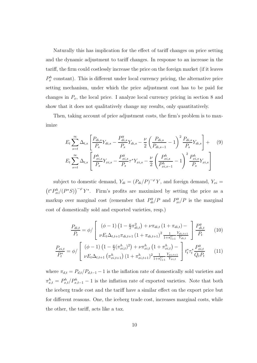Naturally this has implication for the effect of tariff changes on price setting and the dynamic adjustment to tariff changes. In response to an increase in the tariff, the firm could costlessly increase the price on the foreign market (if it leaves  $P_x^h$  constant). This is different under local currency pricing, the alternative price setting mechanism, under which the price adjustment cost has to be paid for changes in  $P_x$ , the local price. I analyze local currency pricing in section 8 and show that it does not qualitatively change my results, only quantitatively.

Then, taking account of price adjustment costs, the firm's problem is to maximize

$$
E_{t} \sum_{s=t}^{\infty} \Delta_{t,s} \left[ \frac{P_{di,s}}{P_{s}} Y_{di,s} - \frac{P_{di,s}^{y}}{P_{s}} Y_{di,s} - \frac{\nu}{2} \left( \frac{P_{di,s}}{P_{di,s-1}} - 1 \right)^{2} \frac{P_{di,s}}{P_{s}} Y_{di,s} \right] + (9)
$$
  

$$
E_{t} \sum_{s=t}^{\infty} \Delta_{t,s} \left[ \frac{P_{xi,s}^{h}}{P_{s}} Y_{xi,s} - \frac{P_{xi,s}^{y}}{P_{s}} \tau^{*} Y_{xi,s} - \frac{\nu}{2} \left( \frac{P_{xi,s}^{h}}{P_{xi,s-1}^{h}} - 1 \right)^{2} \frac{P_{xi,s}^{h}}{P_{s}} Y_{xi,s} \right]
$$

subject to domestic demand,  $Y_{di} = (P_{di}/P)^{-\varphi} Y$ , and foreign demand,  $Y_{xi} =$  $(t^*P_{xi}^h/(P^*S))^{-\varphi}Y^*$ . Firm's profits are maximized by setting the price as a markup over marginal cost (remember that  $P_{di}^y/P$  and  $P_{xi}^y/P$  is the marginal cost of domestically sold and exported varieties, resp.)

$$
\frac{P_{di,t}}{P_t} = \phi / \left[ \begin{array}{cc} (\phi - 1) \left( 1 - \frac{\nu}{2} \pi_{di,t}^2 \right) + \nu \pi_{di,t} \left( 1 + \pi_{di,t} \right) - \\ \nu E_t \Delta_{t,t+1} \pi_{di,t+1} \left( 1 + \pi_{di,t+1} \right)^2 \frac{1}{1 + \pi_{t+1}^C} \frac{Y_{di,t+1}}{Y_{di,t}} \end{array} \right] \frac{P_{di,t}^y}{P_t} \tag{10}
$$
\n
$$
\frac{P_{xi,t}}{P_t^*} = \phi / \left[ \begin{array}{cc} (\phi - 1) \left( 1 - \frac{\nu}{2} (\pi_{xi,t}^h)^2 \right) + \nu \pi_{xi,t}^h \left( 1 + \pi_{xi,t}^h \right) - \\ \nu E_t \Delta_{t,t+1} \left( \pi_{xi,t+1}^h \right) \left( 1 + \pi_{xi,t+1}^h \right)^2 \frac{1}{1 + \pi_{t+1}^C} \frac{Y_{xi,t+1}}{Y_{xi,t}} \end{array} \right] t_t^* \tau_t^* \frac{P_{xi,t}^y}{Q_t P_t} \tag{11}
$$

where  $\pi_{d,t} = P_{d,t}/P_{d,t-1} - 1$  is the inflation rate of domestically sold varieties and  $\pi_{x,t}^h = P_{x,t}^h / P_{x,t-1}^h - 1$  is the inflation rate of exported varieties. Note that both the iceberg trade cost and the tariff have a similar effect on the export price but for different reasons. One, the iceberg trade cost, increases marginal costs, while the other, the tariff, acts like a tax.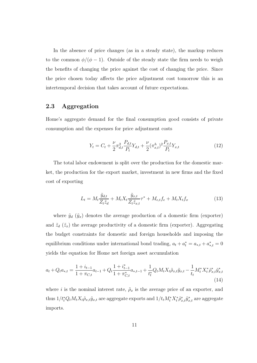In the absence of price changes (as in a steady state), the markup reduces to the common  $\phi/(\phi - 1)$ . Outside of the steady state the firm needs to weigh the benefits of changing the price against the cost of changing the price. Since the price chosen today affects the price adjustment cost tomorrow this is an intertemporal decision that takes account of future expectations.

#### 2.3 Aggregation

Home's aggregate demand for the final consumption good consists of private consumption and the expenses for price adjustment costs

$$
Y_t = C_t + \frac{\nu}{2} \pi_{d,t}^2 \frac{P_{d,t}}{P_t} Y_{d,t} + \frac{\nu}{2} (\pi_{x,t}^h)^2 \frac{P_{x,t}}{P_t} Y_{x,t}
$$
(12)

The total labor endowment is split over the production for the domestic market, the production for the export market, investment in new firms and the fixed cost of exporting

$$
L_t = M_t \frac{\tilde{y}_{d,t}}{Z_t \tilde{z}_d} + M_t X_t \frac{\tilde{y}_{x,t}}{Z_t \tilde{z}_{x,t}} \tau^* + M_{e,t} f_e + M_t X_t f_x \tag{13}
$$

where  $\tilde{y}_d$  ( $\tilde{y}_x$ ) denotes the average production of a domestic firm (exporter) and  $\tilde{z}_d$  ( $\tilde{z}_x$ ) the average productivity of a domestic firm (exporter). Aggregating the budget constraints for domestic and foreign households and imposing the equilibrium conditions under international bond trading,  $a_t + a_t^* = a_{*,t} + a_{*,t}^* = 0$ yields the equation for Home net foreign asset accumulation

$$
a_{t} + Q_{t}a_{*,t} = \frac{1 + i_{t-1}}{1 + \pi_{C,t}}a_{t-1} + Q_{t}\frac{1 + i_{t-1}^{*}}{1 + \pi_{C,t}^{*}}a_{*,t-1} + \frac{1}{t_{t}^{*}}Q_{t}M_{t}X_{t}\tilde{\rho}_{x,t}\tilde{y}_{x,t} - \frac{1}{t_{t}}M_{t}^{*}X_{t}^{*}\tilde{\rho}_{x,t}^{*}\tilde{y}_{x,t}^{*}
$$
\n
$$
(14)
$$

where i is the nominal interest rate,  $\tilde{\rho}_x$  is the average price of an exporter, and thus  $1/t_t^* Q_t M_t X_t \tilde{\rho}_{x,t} \tilde{y}_{x,t}$  are aggregate exports and  $1/t_t M_t^* X_t^* \tilde{\rho}_{x,t}^* \tilde{y}_{x,t}^*$  are aggregate imports.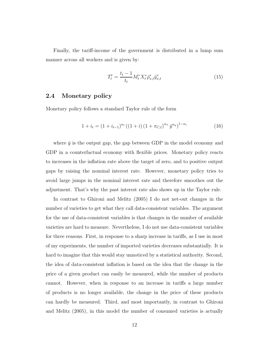Finally, the tariff-income of the government is distributed in a lump sum manner across all workers and is given by:

$$
T_t^t = \frac{t_t - 1}{t_t} M_t^* X_t^* \tilde{\rho}_{x,t}^* \tilde{y}_{x,t}^* \tag{15}
$$

#### 2.4 Monetary policy

Monetary policy follows a standard Taylor rule of the form

$$
1 + i_t = (1 + i_{t-1})^{\alpha_i} ((1 + i) (1 + \pi_{C,t})^{\alpha_{\pi}} \bar{y}^{\alpha_y})^{1 - \alpha_i}
$$
\n(16)

where  $\bar{y}$  is the output gap, the gap between GDP in the model economy and GDP in a counterfactual economy with flexible prices. Monetary policy reacts to increases in the inflation rate above the target of zero, and to positive output gaps by raising the nominal interest rate. However, monetary policy tries to avoid large jumps in the nominal interest rate and therefore smoothes out the adjustment. That's why the past interest rate also shows up in the Taylor rule.

In contrast to Ghironi and Melitz (2005) I do not net-out changes in the number of varieties to get what they call data-consistent variables. The argument for the use of data-consistent variables is that changes in the number of available varieties are hard to measure. Nevertheless, I do not use data-consistent variables for three reasons. First, in response to a sharp increase in tariffs, as I use in most of my experiments, the number of imported varieties decreases substantially. It is hard to imagine that this would stay unnoticed by a statistical authority. Second, the idea of data-consistent inflation is based on the idea that the change in the price of a given product can easily be measured, while the number of products cannot. However, when in response to an increase in tariffs a large number of products is no longer available, the change in the price of these products can hardly be measured. Third, and most importantly, in contrast to Ghironi and Melitz (2005), in this model the number of consumed varieties is actually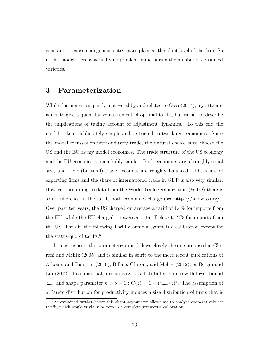constant, because endogenous entry takes place at the plant-level of the firm. So in this model there is actually no problem in measuring the number of consumed varieties.

## 3 Parameterization

While this analysis is partly motivated by and related to Ossa (2014), my attempt is not to give a quantitative assessment of optimal tariffs, but rather to describe the implications of taking account of adjustment dynamics. To this end the model is kept deliberately simple and restricted to two large economies. Since the model focusses on intra-industry trade, the natural choice is to choose the US and the EU as my model economies. The trade structure of the US economy and the EU economy is remarkably similar. Both economies are of roughly equal size, and their (bilateral) trade accounts are roughly balanced. The share of exporting firms and the share of international trade in GDP is also very similar. However, according to data from the World Trade Organization (WTO) there is some difference in the tariffs both economies charge (see https://tao.wto.org/). Over past ten years, the US charged on average a tariff of 1.4% for imports from the EU, while the EU charged on average a tariff close to 2% for imports from the US. Thus in the following I will assume a symmetric calibration except for the status-quo of tariffs.<sup>6</sup>

In most aspects the parameterization follows closely the one proposed in Ghironi and Melitz (2005) and is similar in spirit to the more recent publications of Atkeson and Burstein (2010), Bilbiie, Ghironi, and Melitz (2012), or Bergin and Lin  $(2012)$ . I assume that productivity z is distributed Pareto with lower bound  $z_{\text{min}}$  and shape parameter  $k > \theta - 1$ :  $G(z) = 1 - (z_{\text{min}}/z)^k$ . The assumption of a Pareto distribution for productivity induces a size distribution of firms that is

 $6As$  explained further below this slight asymmetry allows me to analyze cooperatively set tariffs, which would trivially be zero in a complete symmetric calibration.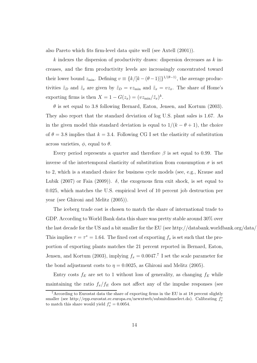also Pareto which fits firm-level data quite well (see Axtell (2001)).

k indexes the dispersion of productivity draws: dispersion decreases as  $k$  increases, and the firm productivity levels are increasingly concentrated toward their lower bound  $z_{\text{min}}$ . Defining  $v \equiv \{k/[k-(\theta-1)]\}^{1/(\theta-1)}$ , the average productivities  $\tilde{z}_D$  and  $\tilde{z}_x$  are given by  $\tilde{z}_D = vz_{\min}$  and  $\tilde{z}_x = vz_x$ . The share of Home's exporting firms is then  $X = 1 - G(z_x) = (v z_{\text{min}}/\tilde{z}_x)^k$ .

 $\theta$  is set equal to 3.8 following Bernard, Eaton, Jensen, and Kortum (2003). They also report that the standard deviation of log U.S. plant sales is 1.67. As in the given model this standard deviation is equal to  $1/(k - \theta + 1)$ , the choice of  $\theta = 3.8$  implies that  $k = 3.4$ . Following CG I set the elasticity of substitution across varieties,  $\phi$ , equal to  $\theta$ .

Every period represents a quarter and therefore  $\beta$  is set equal to 0.99. The inverse of the intertemporal elasticity of substitution from consumption  $\sigma$  is set to 2, which is a standard choice for business cycle models (see, e.g., Krause and Lubik (2007) or Faia (2009)).  $\delta$ , the exogenous firm exit shock, is set equal to 0.025, which matches the U.S. empirical level of 10 percent job destruction per year (see Ghironi and Melitz (2005)).

The iceberg trade cost is chosen to match the share of international trade to GDP. According to World Bank data this share was pretty stable around 30% over the last decade for the US and a bit smaller for the EU (see http://databank.worldbank.org/data/) This implies  $\tau = \tau^* = 1.64$ . The fixed cost of exporting  $f_x$  is set such that the proportion of exporting plants matches the 21 percent reported in Bernard, Eaton, Jensen, and Kortum (2003), implying  $f_x = 0.0047$ .<sup>7</sup> I set the scale parameter for the bond adjustment costs to  $\eta = 0.0025$ , as Ghironi and Melitz (2005).

Entry costs  $f_E$  are set to 1 without loss of generality, as changing  $f_E$  while maintaining the ratio  $f_x/f_E$  does not affect any of the impulse responses (see

<sup>7</sup>According to Eurostat data the share of exporting firms in the EU is at 18 percent slightly smaller (see http://epp.eurostat.ec.europa.eu/newxtweb/submitdimselect.do). Calibrating  $f_x^*$ to match this share would yield  $f_x^* = 0.0054$ .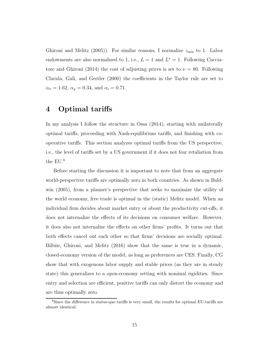Ghironi and Melitz (2005)). For similar reasons, I normalize  $z_{\text{min}}$  to 1. Labor endowments are also normalized to 1, i.e.,  $L = 1$  and  $L^* = 1$ . Following Cacciatore and Ghironi (2014) the cost of adjusting prices is set to  $\nu = 80$ . Following Clarida, Gali, and Gertler (2000) the coefficients in the Taylor rule are set to  $\alpha_{\pi} = 1.62, \, \alpha_{y} = 0.34, \, \text{and} \, \alpha_{i} = 0.71.$ 

## 4 Optimal tariffs

In my analysis I follow the structure in Ossa (2014), starting with unilaterally optimal tariffs, proceeding with Nash-equilibrium tariffs, and finishing with cooperative tariffs. This section analyzes optimal tariffs from the US perspective, i.e., the level of tariffs set by a US government if it does not fear retaliation from the EU.<sup>8</sup>

Before starting the discussion it is important to note that from an aggregate world-perspective tariffs are optimally zero in both countries. As shown in Baldwin (2005), from a planner's perspective that seeks to maximize the utility of the world economy, free trade is optimal in the (static) Melitz model. When an individual firm decides about market entry or about the productivity cut-offs, it does not internalize the effects of its decisions on consumer welfare. However, it does also not internalize the effects on other firms' profits. It turns out that both effects cancel out each other so that firms' decisions are socially optimal. Bilbiie, Ghironi, and Melitz (2016) show that the same is true in a dynamic, closed-economy version of the model, as long as preferences are CES. Finally, CG show that with exogenous labor supply and stable prices (as they are in steady state) this generalizes to a open-economy setting with nominal rigidities. Since entry and selection are efficient, positive tariffs can only distort the economy and are thus optimally zero.

<sup>8</sup>Since the difference in status-quo tariffs is very small, the results for optimal EU-tariffs are almost identical.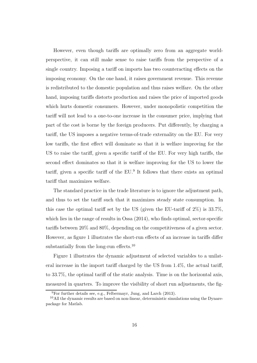However, even though tariffs are optimally zero from an aggregate worldperspective, it can still make sense to raise tariffs from the perspective of a single country. Imposing a tariff on imports has two counteracting effects on the imposing economy. On the one hand, it raises government revenue. This revenue is redistributed to the domestic population and thus raises welfare. On the other hand, imposing tariffs distorts production and raises the price of imported goods which hurts domestic consumers. However, under monopolistic competition the tariff will not lead to a one-to-one increase in the consumer price, implying that part of the cost is borne by the foreign producers. Put differently, by charging a tariff, the US imposes a negative terms-of-trade externality on the EU. For very low tariffs, the first effect will dominate so that it is welfare improving for the US to raise the tariff, given a specific tariff of the EU. For very high tariffs, the second effect dominates so that it is welfare improving for the US to lower the tariff, given a specific tariff of the EU.<sup>9</sup> It follows that there exists an optimal tariff that maximizes welfare.

The standard practice in the trade literature is to ignore the adjustment path, and thus to set the tariff such that it maximizes steady state consumption. In this case the optimal tariff set by the US (given the EU-tariff of  $2\%$ ) is  $33.7\%$ , which lies in the range of results in Ossa  $(2014)$ , who finds optimal, sector-specific tariffs between 20% and 80%, depending on the competitiveness of a given sector. However, as figure 1 illustrates the short-run effects of an increase in tariffs differ substantially from the long-run effects.<sup>10</sup>

Figure 1 illustrates the dynamic adjustment of selected variables to a unilateral increase in the import tariff charged by the US from 1.4%, the actual tariff, to 33.7%, the optimal tariff of the static analysis. Time is on the horizontal axis, measured in quarters. To improve the visibility of short run adjustments, the fig-

 $^{9}$ For further details see, e.g., Felbermayr, Jung, and Larch (2013).

 $10$ All the dynamic results are based on non-linear, deterministic simulations using the Dynarepackage for Matlab.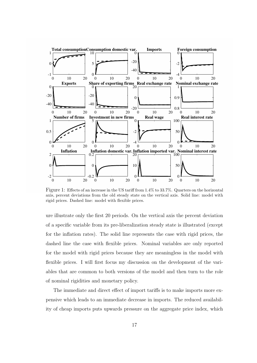

Figure 1: Effects of an increase in the US tariff from 1.4% to 33.7%. Quarters on the horizontal axis, percent deviations from the old steady state on the vertical axis. Solid line: model with rigid prices. Dashed line: model with flexible prices.

ure illustrate only the first 20 periods. On the vertical axis the percent deviation of a specific variable from its pre-liberalization steady state is illustrated (except for the inflation rates). The solid line represents the case with rigid prices, the dashed line the case with flexible prices. Nominal variables are only reported for the model with rigid prices because they are meaningless in the model with flexible prices. I will first focus my discussion on the development of the variables that are common to both versions of the model and then turn to the role of nominal rigidities and monetary policy.

The immediate and direct effect of import tariffs is to make imports more expensive which leads to an immediate decrease in imports. The reduced availability of cheap imports puts upwards pressure on the aggregate price index, which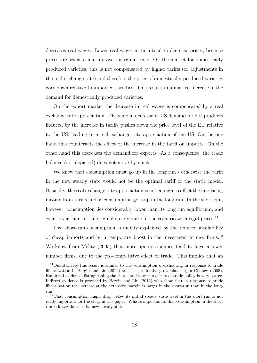decreases real wages. Lower real wages in turn tend to decrease prices, because prices are set as a markup over marginal costs. On the market for domestically produced varieties, this is not compensated by higher tariffs (or adjustments in the real exchange rate) and therefore the price of domestically produced varieties goes down relative to imported varieties. This results in a marked increase in the demand for domestically produced varieties.

On the export market the decrease in real wages is compensated by a real exchange rate appreciation. The sudden decrease in US-demand for EU-products induced by the increase in tariffs pushes down the price level of the EU relative to the US, leading to a real exchange rate appreciation of the US. On the one hand this counteracts the effect of the increase in the tariff on imports. On the other hand this decreases the demand for exports. As a consequence, the trade balance (not depicted) does not move by much.

We know that consumption must go up in the long run - otherwise the tariff in the new steady state would not be the optimal tariff of the static model. Basically, the real exchange rate appreciation is not enough to offset the increasing income from tariffs and so consumption goes up in the long run. In the short-run, however, consumption lies considerably lower than its long run equilibrium, and even lower than in the original steady state in the scenario with rigid prices.<sup>11</sup>

Low short-run consumption is mainly explained by the reduced availability of cheap imports and by a temporary boost in the investment in new firms.<sup>12</sup> We know from Melitz (2003) that more open economies tend to have a lower number firms, due to the pro-competitive effect of trade. This implies that an

<sup>11</sup>Qualitatively this result is similar to the consumption overshooting in response to trade liberalization in Bergin and Lin (2012) and the productivity overshooting in Chaney (2005). Empirical evidence distinguishing the short- and long-run effects of trade policy is very scarce. Indirect evidence is provided by Bergin and Lin (2012) who show that in response to trade liberalization the increase at the extensive margin is larger in the short-run than in the longrun.

<sup>12</sup>That consumption might drop below its initial steady state level in the short run is not really important for the story in this paper. What's important is that consumption in the short run is lower than in the new steady state.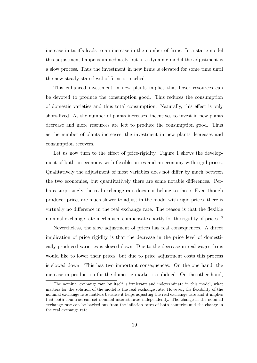increase in tariffs leads to an increase in the number of firms. In a static model this adjustment happens immediately but in a dynamic model the adjustment is a slow process. Thus the investment in new firms is elevated for some time until the new steady state level of firms is reached.

This enhanced investment in new plants implies that fewer resources can be devoted to produce the consumption good. This reduces the consumption of domestic varieties and thus total consumption. Naturally, this effect is only short-lived. As the number of plants increases, incentives to invest in new plants decrease and more resources are left to produce the consumption good. Thus as the number of plants increases, the investment in new plants decreases and consumption recovers.

Let us now turn to the effect of price-rigidity. Figure 1 shows the development of both an economy with flexible prices and an economy with rigid prices. Qualitatively the adjustment of most variables does not differ by much between the two economies, but quantitatively there are some notable differences. Perhaps surprisingly the real exchange rate does not belong to these. Even though producer prices are much slower to adjust in the model with rigid prices, there is virtually no difference in the real exchange rate. The reason is that the flexible nominal exchange rate mechanism compensates partly for the rigidity of prices.<sup>13</sup>

Nevertheless, the slow adjustment of prices has real consequences. A direct implication of price rigidity is that the decrease in the price level of domestically produced varieties is slowed down. Due to the decrease in real wages firms would like to lower their prices, but due to price adjustment costs this process is slowed down. This has two important consequences. On the one hand, the increase in production for the domestic market is subdued. On the other hand,

<sup>&</sup>lt;sup>13</sup>The nominal exchange rate by itself is irrelevant and indeterminate in this model, what matters for the solution of the model is the real exchange rate. However, the flexibility of the nominal exchange rate matters because it helps adjusting the real exchange rate and it implies that both countries can set nominal interest rates independently. The change in the nominal exchange rate can be backed out from the inflation rates of both countries and the change in the real exchange rate.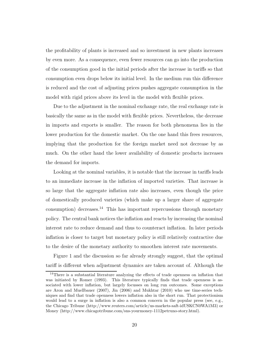the profitability of plants is increased and so investment in new plants increases by even more. As a consequence, even fewer resources can go into the production of the consumption good in the initial periods after the increase in tariffs so that consumption even drops below its initial level. In the medium run this difference is reduced and the cost of adjusting prices pushes aggregate consumption in the model with rigid prices above its level in the model with flexible prices.

Due to the adjustment in the nominal exchange rate, the real exchange rate is basically the same as in the model with flexible prices. Nevertheless, the decrease in imports and exports is smaller. The reason for both phenomena lies in the lower production for the domestic market. On the one hand this frees resources, implying that the production for the foreign market need not decrease by as much. On the other hand the lower availability of domestic products increases the demand for imports.

Looking at the nominal variables, it is notable that the increase in tariffs leads to an immediate increase in the inflation of imported varieties. That increase is so large that the aggregate inflation rate also increases, even though the price of domestically produced varieties (which make up a larger share of aggregate consumption) decreases.<sup>14</sup> This has important repercussions through monetary policy. The central bank notices the inflation and reacts by increasing the nominal interest rate to reduce demand and thus to counteract inflation. In later periods inflation is closer to target but monetary policy is still relatively contractive due to the desire of the monetary authority to smoothen interest rate movements.

Figure 1 and the discussion so far already strongly suggest, that the optimal tariff is different when adjustment dynamics are taken account of. Although the

<sup>&</sup>lt;sup>14</sup>There is a substantial literature analyzing the effects of trade openness on inflation that was initiated by Romer (1993). This literature typically finds that trade openness is associated with lower inflation, but largely focusses on long run outcomes. Some exceptions are Aron and Muellbauer (2007), Jin (2006) and Mukhtar (2010) who use time-series techniques and find that trade openness lowers inflation also in the short run. That protectionism would lead to a surge in inflation is also a common concern in the popular press (see, e.g., the Chicago Tribune (http://www.reuters.com/article/us-markets-saft-idUSKCN0WA1M3) or Money (http://www.chicagotribune.com/sns-yourmoney-1112petruno-story.html).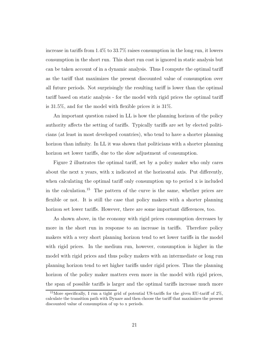increase in tariffs from 1.4% to 33.7% raises consumption in the long run, it lowers consumption in the short run. This short run cost is ignored in static analysis but can be taken account of in a dynamic analysis. Thus I compute the optimal tariff as the tariff that maximizes the present discounted value of consumption over all future periods. Not surprisingly the resulting tariff is lower than the optimal tariff based on static analysis - for the model with rigid prices the optimal tariff is 31.5%, and for the model with flexible prices it is 31%.

An important question raised in LL is how the planning horizon of the policy authority affects the setting of tariffs. Typically tariffs are set by elected politicians (at least in most developed countries), who tend to have a shorter planning horizon than infinity. In LL it was shown that politicians with a shorter planning horizon set lower tariffs, due to the slow adjustment of consumption.

Figure 2 illustrates the optimal tariff, set by a policy maker who only cares about the next x years, with x indicated at the horizontal axis. Put differently, when calculating the optimal tariff only consumption up to period x is included in the calculation.<sup>15</sup> The pattern of the curve is the same, whether prices are flexible or not. It is still the case that policy makers with a shorter planning horizon set lower tariffs. However, there are some important differences, too.

As shown above, in the economy with rigid prices consumption decreases by more in the short run in response to an increase in tariffs. Therefore policy makers with a very short planning horizon tend to set lower tariffs in the model with rigid prices. In the medium run, however, consumption is higher in the model with rigid prices and thus policy makers with an intermediate or long run planning horizon tend to set higher tariffs under rigid prices. Thus the planning horizon of the policy maker matters even more in the model with rigid prices, the span of possible tariffs is larger and the optimal tariffs increase much more

<sup>&</sup>lt;sup>15</sup>More specifically, I run a tight grid of potential US-tariffs for the given EU-tariff of  $2\%$ , calculate the transition path with Dynare and then choose the tariff that maximizes the present discounted value of consumption of up to x periods.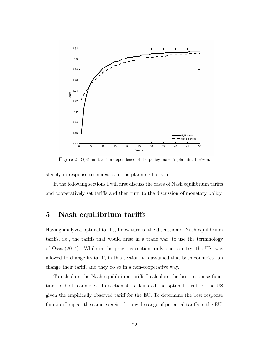

Figure 2: Optimal tariff in dependence of the policy maker's planning horizon.

steeply in response to increases in the planning horizon.

In the following sections I will first discuss the cases of Nash equilibrium tariffs and cooperatively set tariffs and then turn to the discussion of monetary policy.

## 5 Nash equilibrium tariffs

Having analyzed optimal tariffs, I now turn to the discussion of Nash equilibrium tariffs, i.e., the tariffs that would arise in a trade war, to use the terminology of Ossa (2014). While in the previous section, only one country, the US, was allowed to change its tariff, in this section it is assumed that both countries can change their tariff, and they do so in a non-cooperative way.

To calculate the Nash equilibrium tariffs I calculate the best response functions of both countries. In section 4 I calculated the optimal tariff for the US given the empirically observed tariff for the EU. To determine the best response function I repeat the same exercise for a wide range of potential tariffs in the EU.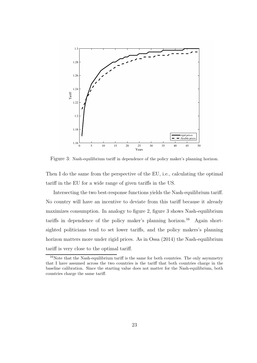

Figure 3: Nash-equilibrium tariff in dependence of the policy maker's planning horizon.

Then I do the same from the perspective of the EU, i.e., calculating the optimal tariff in the EU for a wide range of given tariffs in the US.

Intersecting the two best-response functions yields the Nash-equilibrium tariff. No country will have an incentive to deviate from this tariff because it already maximizes consumption. In analogy to figure 2, figure 3 shows Nash-equilibrium tariffs in dependence of the policy maker's planning horizon.<sup>16</sup> Again shortsighted politicians tend to set lower tariffs, and the policy makers's planning horizon matters more under rigid prices. As in Ossa (2014) the Nash-equilibrium tariff is very close to the optimal tariff.

<sup>&</sup>lt;sup>16</sup>Note that the Nash-equilibrium tariff is the same for both countries. The only asymmetry that I have assumed across the two countries is the tariff that both countries charge in the baseline calibration. Since the starting value does not matter for the Nash-equilibrium, both countries charge the same tariff.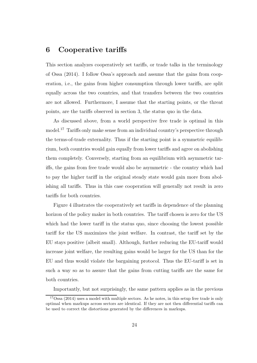## 6 Cooperative tariffs

This section analyzes cooperatively set tariffs, or trade talks in the terminology of Ossa (2014). I follow Ossa's approach and assume that the gains from cooperation, i.e., the gains from higher consumption through lower tariffs, are split equally across the two countries, and that transfers between the two countries are not allowed. Furthermore, I assume that the starting points, or the threat points, are the tariffs observed in section 3, the status quo in the data.

As discussed above, from a world perspective free trade is optimal in this model.<sup>17</sup> Tariffs only make sense from an individual country's perspective through the terms-of-trade externality. Thus if the starting point is a symmetric equilibrium, both countries would gain equally from lower tariffs and agree on abolishing them completely. Conversely, starting from an equilibrium with asymmetric tariffs, the gains from free trade would also be asymmetric - the country which had to pay the higher tariff in the original steady state would gain more from abolishing all tariffs. Thus in this case cooperation will generally not result in zero tariffs for both countries.

Figure 4 illustrates the cooperatively set tariffs in dependence of the planning horizon of the policy maker in both countries. The tariff chosen is zero for the US which had the lower tariff in the status quo, since choosing the lowest possible tariff for the US maximizes the joint welfare. In contrast, the tariff set by the EU stays positive (albeit small). Although, further reducing the EU-tariff would increase joint welfare, the resulting gains would be larger for the US than for the EU and thus would violate the bargaining protocol. Thus the EU-tariff is set in such a way so as to assure that the gains from cutting tariffs are the same for both countries.

Importantly, but not surprisingly, the same pattern applies as in the previous

<sup>&</sup>lt;sup>17</sup>Ossa (2014) uses a model with multiple sectors. As he notes, in this setup free trade is only optimal when markups across sectors are identical. If they are not then differential tariffs can be used to correct the distortions generated by the differences in markups.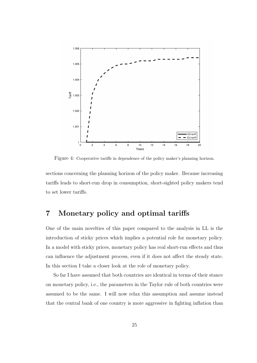

Figure 4: Cooperative tariffs in dependence of the policy maker's planning horizon.

sections concerning the planning horizon of the policy maker. Because increasing tariffs leads to short-run drop in consumption, short-sighted policy makers tend to set lower tariffs.

## 7 Monetary policy and optimal tariffs

One of the main novelties of this paper compared to the analysis in LL is the introduction of sticky prices which implies a potential role for monetary policy. In a model with sticky prices, monetary policy has real short-run effects and thus can influence the adjustment process, even if it does not affect the steady state. In this section I take a closer look at the role of monetary policy.

So far I have assumed that both countries are identical in terms of their stance on monetary policy, i.e., the parameters in the Taylor rule of both countries were assumed to be the same. I will now relax this assumption and assume instead that the central bank of one country is more aggressive in fighting inflation than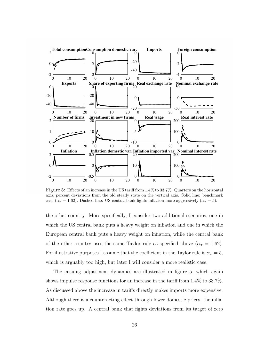

Figure 5: Effects of an increase in the US tariff from 1.4% to 33.7%. Quarters on the horizontal axis, percent deviations from the old steady state on the vertical axis. Solid line: benchmark case ( $\alpha_{\pi} = 1.62$ ). Dashed line: US central bank fights inflation more aggressively ( $\alpha_{\pi} = 5$ ).

the other country. More specifically, I consider two additional scenarios, one in which the US central bank puts a heavy weight on inflation and one in which the European central bank puts a heavy weight on inflation, while the central bank of the other country uses the same Taylor rule as specified above ( $\alpha_{\pi} = 1.62$ ). For illustrative purposes I assume that the coefficient in the Taylor rule is  $\alpha_{\pi} = 5$ , which is arguably too high, but later I will consider a more realistic case.

The ensuing adjustment dynamics are illustrated in figure 5, which again shows impulse response functions for an increase in the tariff from 1.4% to 33.7%. As discussed above the increase in tariffs directly makes imports more expensive. Although there is a counteracting effect through lower domestic prices, the inflation rate goes up. A central bank that fights deviations from its target of zero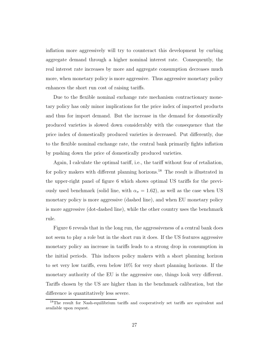inflation more aggressively will try to counteract this development by curbing aggregate demand through a higher nominal interest rate. Consequently, the real interest rate increases by more and aggregate consumption decreases much more, when monetary policy is more aggressive. Thus aggressive monetary policy enhances the short run cost of raising tariffs.

Due to the flexible nominal exchange rate mechanism contractionary monetary policy has only minor implications for the price index of imported products and thus for import demand. But the increase in the demand for domestically produced varieties is slowed down considerably with the consequence that the price index of domestically produced varieties is decreased. Put differently, due to the flexible nominal exchange rate, the central bank primarily fights inflation by pushing down the price of domestically produced varieties.

Again, I calculate the optimal tariff, i.e., the tariff without fear of retaliation, for policy makers with different planning horizons.<sup>18</sup> The result is illustrated in the upper-right panel of figure 6 which shows optimal US tariffs for the previously used benchmark (solid line, with  $\alpha_{\pi} = 1.62$ ), as well as the case when US monetary policy is more aggressive (dashed line), and when EU monetary policy is more aggressive (dot-dashed line), while the other country uses the benchmark rule.

Figure 6 reveals that in the long run, the aggressiveness of a central bank does not seem to play a role but in the short run it does. If the US features aggressive monetary policy an increase in tariffs leads to a strong drop in consumption in the initial periods. This induces policy makers with a short planning horizon to set very low tariffs, even below 10% for very short planning horizons. If the monetary authority of the EU is the aggressive one, things look very different. Tariffs chosen by the US are higher than in the benchmark calibration, but the difference is quantitatively less severe.

<sup>&</sup>lt;sup>18</sup>The result for Nash-equilibrium tariffs and cooperatively set tariffs are equivalent and available upon request.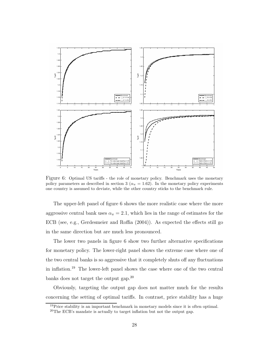

Figure 6: Optimal US tariffs - the role of monetary policy. Benchmark uses the monetary policy parameters as described in section 3 ( $\alpha_{\pi} = 1.62$ ). In the monetary policy experiments one country is assumed to deviate, while the other country sticks to the benchmark rule.

The upper-left panel of figure 6 shows the more realistic case where the more aggressive central bank uses  $\alpha_{\pi} = 2.1$ , which lies in the range of estimates for the ECB (see, e.g., Gerdesmeier and Roffia (2004)). As expected the effects still go in the same direction but are much less pronounced.

The lower two panels in figure 6 show two further alternative specifications for monetary policy. The lower-right panel shows the extreme case where one of the two central banks is so aggressive that it completely shuts off any fluctuations in inflation.<sup>19</sup> The lower-left panel shows the case where one of the two central banks does not target the output gap.<sup>20</sup>

Obviously, targeting the output gap does not matter much for the results concerning the setting of optimal tariffs. In contrast, price stability has a huge

<sup>&</sup>lt;sup>19</sup>Price stability is an important benchmark in monetary models since it is often optimal.

<sup>20</sup>The ECB's mandate is actually to target inflation but not the output gap.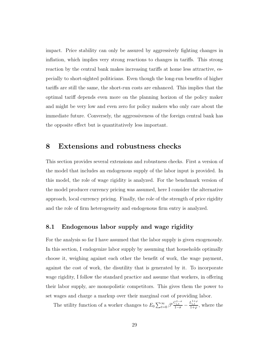impact. Price stability can only be assured by aggressively fighting changes in inflation, which implies very strong reactions to changes in tariffs. This strong reaction by the central bank makes increasing tariffs at home less attractive, especially to short-sighted politicians. Even though the long-run benefits of higher tariffs are still the same, the short-run costs are enhanced. This implies that the optimal tariff depends even more on the planning horizon of the policy maker and might be very low and even zero for policy makers who only care about the immediate future. Conversely, the aggressiveness of the foreign central bank has the opposite effect but is quantitatively less important.

#### 8 Extensions and robustness checks

This section provides several extensions and robustness checks. First a version of the model that includes an endogenous supply of the labor input is provided. In this model, the role of wage rigidity is analyzed. For the benchmark version of the model producer currency pricing was assumed, here I consider the alternative approach, local currency pricing. Finally, the role of the strength of price rigidity and the role of firm heterogeneity and endogenous firm entry is analyzed.

#### 8.1 Endogenous labor supply and wage rigidity

For the analysis so far I have assumed that the labor supply is given exogenously. In this section, I endogenize labor supply by assuming that households optimally choose it, weighing against each other the benefit of work, the wage payment, against the cost of work, the disutility that is generated by it. To incorporate wage rigidity, I follow the standard practice and assume that workers, in offering their labor supply, are monopolistic competitors. This gives them the power to set wages and charge a markup over their marginal cost of providing labor.

The utility function of a worker changes to  $E_0 \sum_{t=0}^{\infty} \beta^t \frac{C_{i,t}^{1-\sigma}}{1-\sigma} - \frac{L_{i,t}^{1+\varphi}}{1+\varphi}$ , where the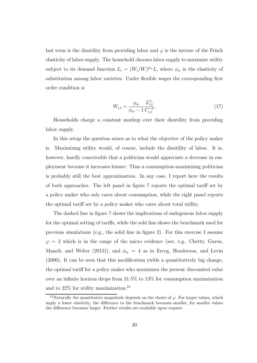last term is the disutility from providing labor and  $\varphi$  is the inverse of the Frisch elasticity of labor supply. The household chooses labor supply to maximize utility subject to its demand function  $L_i = (W_i/W)^{\phi_w}L$ , where  $\phi_w$  is the elasticity of substitution among labor varieties. Under flexible wages the corresponding first order condition is

$$
W_{i,t} = \frac{\phi_w}{\phi_w - 1} \frac{L_{i,t}^{\varphi}}{C_{i,t}^{-\sigma}}.
$$
\n(17)

Households charge a constant markup over their disutility from providing labor supply.

In this setup the question arises as to what the objective of the policy maker is. Maximizing utility would, of course, include the disutility of labor. It is, however, hardly conceivable that a politician would appreciate a decrease in employment because it increases leisure. Thus a consumption-maximizing politician is probably still the best approximation. In any case, I report here the results of both approaches. The left panel in figure 7 reports the optimal tariff set by a policy maker who only cares about consumption, while the right panel reports the optimal tariff set by a policy maker who cares about total utility.

The dashed line in figure 7 shows the implications of endogenous labor supply for the optimal setting of tariffs, while the sold line shows the benchmark used for previous simulations (e.g., the solid line in figure 2). For this exercise I assume  $\varphi = 2$  which is in the range of the micro evidence (see, e.g., Chetty, Guren, Manoli, and Weber (2013)), and  $\phi_w = 4$  as in Erceg, Henderson, and Levin (2000). It can be seen that this modification yields a quantitatively big change, the optimal tariff for a policy maker who maximizes the present discounted value over an infinite horizon drops from 31.5% to 13% for consumption maximization and to  $22\%$  for utility maximization.<sup>21</sup>

<sup>&</sup>lt;sup>21</sup>Naturally the quantitative magnitude depends on the choice of  $\varphi$ . For larger values, which imply a lower elasticity, the difference to the benchmark becomes smaller, for smaller values the difference becomes larger. Further results are available upon request.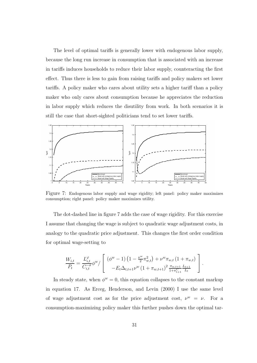The level of optimal tariffs is generally lower with endogenous labor supply, because the long run increase in consumption that is associated with an increase in tariffs induces households to reduce their labor supply, counteracting the first effect. Thus there is less to gain from raising tariffs and policy makers set lower tariffs. A policy maker who cares about utility sets a higher tariff than a policy maker who only cares about consumption because he appreciates the reduction in labor supply which reduces the disutility from work. In both scenarios it is still the case that short-sighted politicians tend to set lower tariffs.



Figure 7: Endogenous labor supply and wage rigidity; left panel: policy maker maximizes consumption; right panel: policy maker maximizes utility.

The dot-dashed line in figure 7 adds the case of wage rigidity. For this exercise I assume that changing the wage is subject to quadratic wage adjustment costs, in analogy to the quadratic price adjustment. This changes the first order condition for optimal wage-setting to

$$
\frac{W_{i,t}}{P_t} = \frac{L_{i,t}^{\varphi}}{C_{i,t}^{-\sigma}} \phi^w / \left[ \begin{array}{c} (\phi^w - 1) \left(1 - \frac{\nu^w}{2} \pi_{w,t}^2\right) + \nu^w \pi_{w,t} \left(1 + \pi_{w,t}\right) \\ -E_t \Delta_{t,t+1} \nu^w \left(1 + \pi_{w,t+1}\right)^2 \frac{\pi_{w,t+1}}{1 + \pi_{t+1}^C} \frac{L_{t+1}}{L_t} \end{array} \right].
$$

In steady state, when  $\phi^w = 0$ , this equation collapses to the constant markup in equation 17. As Erceg, Henderson, and Levin (2000) I use the same level of wage adjustment cost as for the price adjustment cost,  $\nu^w = \nu$ . For a consumption-maximizing policy maker this further pushes down the optimal tar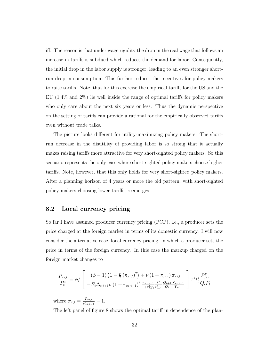iff. The reason is that under wage rigidity the drop in the real wage that follows an increase in tariffs is subdued which reduces the demand for labor. Consequently, the initial drop in the labor supply is stronger, leading to an even stronger shortrun drop in consumption. This further reduces the incentives for policy makers to raise tariffs. Note, that for this exercise the empirical tariffs for the US and the EU (1.4% and 2%) lie well inside the range of optimal tariffs for policy makers who only care about the next six years or less. Thus the dynamic perspective on the setting of tariffs can provide a rational for the empirically observed tariffs even without trade talks.

The picture looks different for utility-maximizing policy makers. The shortrun decrease in the disutility of providing labor is so strong that it actually makes raising tariffs more attractive for very short-sighted policy makers. So this scenario represents the only case where short-sighted policy makers choose higher tariffs. Note, however, that this only holds for very short-sighted policy makers. After a planning horizon of 4 years or more the old pattern, with short-sighted policy makers choosing lower tariffs, reemerges.

#### 8.2 Local currency pricing

So far I have assumed producer currency pricing (PCP), i.e., a producer sets the price charged at the foreign market in terms of its domestic currency. I will now consider the alternative case, local currency pricing, in which a producer sets the price in terms of the foreign currency. In this case the markup charged on the foreign market changes to

$$
\frac{P_{xi,t}}{P_t^*} = \phi / \left[ \begin{array}{c} (\phi - 1) \left(1 - \frac{\nu}{2} \left(\pi_{xi,t}\right)^2\right) + \nu \left(1 + \pi_{xi,t}\right) \pi_{xi,t} \\ -E_t \Delta_{t,t+1} \nu \left(1 + \pi_{xi,t+1}\right)^2 \frac{\pi_{xi,t+1}}{1 + \pi_{t+1}^{C*}} \frac{t_t^*}{t_{t+1}^*} \frac{Q_{t+1}}{Q_t} \frac{Y_{xi,t+1}}{Y_{xi,t}} \end{array} \right] \tau^* t_t^* \frac{P_{xi,t}^y}{Q_t P_t}
$$

where  $\pi_{x,t} = \frac{P_{xi,t}}{P_{min,t}}$  $\frac{\prod_{x_i,t=1}^{r_{xi,t}}-1.$ 

The left panel of figure 8 shows the optimal tariff in dependence of the plan-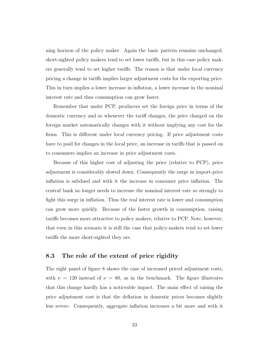ning horizon of the policy maker. Again the basic pattern remains unchanged, short-sighted policy makers tend to set lower tariffs, but in this case policy makers generally tend to set higher tariffs. The reason is that under local currency pricing a change in tariffs implies larger adjustment costs for the exporting price. This in turn implies a lower increase in inflation, a lower increase in the nominal interest rate and thus consumption can grow faster.

Remember that under PCP, producers set the foreign price in terms of the domestic currency and so whenever the tariff changes, the price charged on the foreign market automatically changes with it without implying any cost for the firms. This is different under local currency pricing. If price adjustment costs have to paid for changes in the local price, an increase in tariffs that is passed on to consumers implies an increase in price adjustment costs.

Because of this higher cost of adjusting the price (relative to PCP), price adjustment is considerably slowed down. Consequently the surge in import-price inflation is subdued and with it the increase in consumer price inflation. The central bank no longer needs to increase the nominal interest rate so strongly to fight this surge in inflation. Thus the real interest rate is lower and consumption can grow more quickly. Because of the faster growth in consumption, raising tariffs becomes more attractive to policy makers, relative to PCP. Note, however, that even in this scenario it is still the case that policy-makers tend to set lower tariffs the more short-sighted they are.

#### 8.3 The role of the extent of price rigidity

The right panel of figure 8 shows the case of increased priced adjustment costs, with  $\nu = 120$  instead of  $\nu = 80$ , as in the benchmark. The figure illustrates that this change hardly has a noticeable impact. The main effect of raising the price adjustment cost is that the deflation in domestic prices becomes slightly less severe. Consequently, aggregate inflation increases a bit more and with it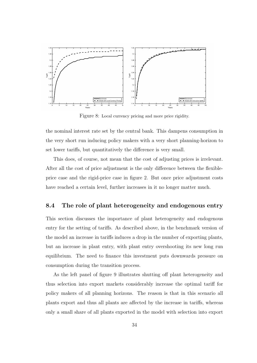

Figure 8: Local currency pricing and more price rigidity.

the nominal interest rate set by the central bank. This dampens consumption in the very short run inducing policy makers with a very short planning-horizon to set lower tariffs, but quantitatively the difference is very small.

This does, of course, not mean that the cost of adjusting prices is irrelevant. After all the cost of price adjustment is the only difference between the flexibleprice case and the rigid-price case in figure 2. But once price adjustment costs have reached a certain level, further increases in it no longer matter much.

#### 8.4 The role of plant heterogeneity and endogenous entry

This section discusses the importance of plant heterogeneity and endogenous entry for the setting of tariffs. As described above, in the benchmark version of the model an increase in tariffs induces a drop in the number of exporting plants, but an increase in plant entry, with plant entry overshooting its new long run equilibrium. The need to finance this investment puts downwards pressure on consumption during the transition process.

As the left panel of figure 9 illustrates shutting off plant heterogeneity and thus selection into export markets considerably increase the optimal tariff for policy makers of all planning horizons. The reason is that in this scenario all plants export and thus all plants are affected by the increase in tariffs, whereas only a small share of all plants exported in the model with selection into export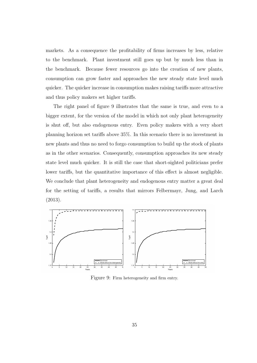markets. As a consequence the profitability of firms increases by less, relative to the benchmark. Plant investment still goes up but by much less than in the benchmark. Because fewer resources go into the creation of new plants, consumption can grow faster and approaches the new steady state level much quicker. The quicker increase in consumption makes raising tariffs more attractive and thus policy makers set higher tariffs.

The right panel of figure 9 illustrates that the same is true, and even to a bigger extent, for the version of the model in which not only plant heterogeneity is shut off, but also endogenous entry. Even policy makers with a very short planning horizon set tariffs above 35%. In this scenario there is no investment in new plants and thus no need to forgo consumption to build up the stock of plants as in the other scenarios. Consequently, consumption approaches its new steady state level much quicker. It is still the case that short-sighted politicians prefer lower tariffs, but the quantitative importance of this effect is almost negligible. We conclude that plant heterogeneity and endogenous entry matter a great deal for the setting of tariffs, a results that mirrors Felbermayr, Jung, and Larch (2013).



Figure 9: Firm heterogeneity and firm entry.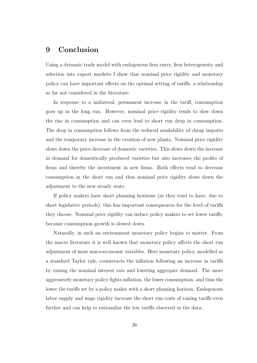## 9 Conclusion

Using a dynamic trade model with endogenous firm entry, firm heterogeneity and selection into export markets I show that nominal price rigidity and monetary policy can have important effects on the optimal setting of tariffs, a relationship so far not considered in the literature.

In response to a unilateral, permanent increase in the tariff, consumption goes up in the long run. However, nominal price rigidity tends to slow down the rise in consumption and can even lead to short run drop in consumption. The drop in consumption follows from the reduced availability of cheap imports and the temporary increase in the creation of new plants. Nominal price rigidity slows down the price decrease of domestic varieties. This slows down the increase in demand for domestically produced varieties but also increases the profits of firms and thereby the investment in new firms. Both effects tend to decrease consumption in the short run and thus nominal price rigidity slows down the adjustment to the new steady state.

If policy makers have short planning horizons (as they tend to have, due to short legislative periods), this has important consequences for the level of tariffs they choose. Nominal price rigidity can induce policy makers to set lower tariffs, because consumption growth is slowed down.

Naturally, in such an environment monetary policy begins to matter. From the macro literature it is well known that monetary policy affects the short run adjustment of most macroeconomic variables. Here monetary policy, modelled as a standard Taylor rule, counteracts the inflation following an increase in tariffs by raising the nominal interest rate and lowering aggregate demand. The more aggressively monetary policy fights inflation, the lower consumption, and thus the lower the tariffs set by a policy maker with a short planning horizon. Endogenous labor supply and wage rigidity increase the short run costs of raising tariffs even further and can help to rationalize the low tariffs observed in the data.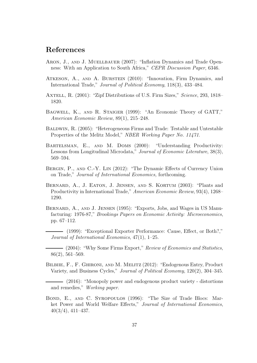## References

- ARON, J., AND J. MUELLBAUER (2007): "Inflation Dynamics and Trade Openness: With an Application to South Africa," *CEPR Discussion Paper*, 6346.
- Atkeson, A., and A. Burstein (2010): "Innovation, Firm Dynamics, and International Trade," *Journal of Political Economy*, 118(3), 433–484.
- Axtell, R. (2001): "Zipf Distributions of U.S. Firm Sizes," *Science*, 293, 1818– 1820.
- Bagwell, K., and R. Staiger (1999): "An Economic Theory of GATT," *American Economic Review*, 89(1), 215–248.
- Baldwin, R. (2005): "Heterogeneous Firms and Trade: Testable and Untestable Properties of the Melitz Model," *NBER Working Paper No. 11471*.
- BARTELSMAN, E., AND M. DOMS (2000): "Understanding Productivity: Lessons from Longitudinal Microdata," *Journal of Economic Literature*, 38(3), 569–594.
- BERGIN, P., AND C.-Y. LIN (2012): "The Dynamic Effects of Currency Union on Trade," *Journal of International Economics,* forthcoming.
- BERNARD, A., J. EATON, J. JENSEN, AND S. KORTUM (2003): "Plants and Productivity in International Trade," *American Economic Review*, 93(4), 1268– 1290.
- Bernard, A., and J. Jensen (1995): "Exports, Jobs, and Wages in US Manufacturing: 1976-87," *Brookings Papers on Economic Activity: Microeconomics*, pp. 67–112.
- (1999): "Exceptional Exporter Performance: Cause, Effect, or Both?," *Journal of International Economics*, 47(1), 1–25.
- (2004): "Why Some Firms Export," *Review of Economics and Statistics*, 86(2), 561–569.
- Bilbiie, F., F. Ghironi, and M. Melitz (2012): "Endogenous Entry, Product Variety, and Business Cycles," *Journal of Political Economy*, 120(2), 304–345.

(2016): "Monopoly power and endogenous product variety - distortions and remedies," *Working paper*.

Bond, E., and C. Syropoulos (1996): "The Size of Trade Blocs: Market Power and World Welfare Effects," *Journal of International Economics*, 40(3/4), 411–437.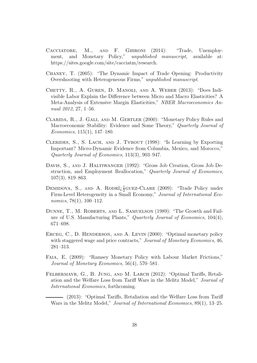- Cacciatore, M., and F. Ghironi (2014): "Trade, Unemployment, and Monetary Policy," *unpublished manuscript*, available at: https://sites.google.com/site/cacciatm/research.
- Chaney, T. (2005): "The Dynamic Impact of Trade Opening: Productivity Overshooting with Heterogeneous Firms," *unpublished manuscript*.
- Chetty, R., A. Guren, D. Manoli, and A. Weber (2013): "Does Indivisible Labor Explain the Difference between Micro and Macro Elasticities? A Meta-Analysis of Extensive Margin Elasticities," *NBER Macroeconomics Annual 2012*, 27, 1–56.
- Clarida, R., J. Gali, and M. Gertler (2000): "Monetary Policy Rules and Macroeconomic Stability: Evidence and Some Theory," *Quarterly Journal of Economics*, 115(1), 147–180.
- Clerides, S., S. Lach, and J. Tybout (1998): "Is Learning by Exporting Important? Micro-Dynamic Evidence from Columbia, Mexico, and Morocco," *Quarterly Journal of Economics*, 113(3), 903–947.
- Davis, S., and J. Haltiwanger (1992): "Gross Job Creation, Gross Job Destruction, and Employment Reallocation," *Quarterly Journal of Economics*, 107(3), 819–863.
- DEMIDOVA, S., AND A. RODR $i_{\xi}^{\perp}$ GUEZ-CLARE (2009): "Trade Policy under Firm-Level Heterogeneity in a Small Economy," *Journal of International Economics*, 78(1), 100–112.
- Dunne, T., M. Roberts, and L. Samuelson (1989): "The Growth and Failure of U.S. Manufacturing Plants," *Quarterly Journal of Economics*, 104(4), 671–698.
- ERCEG, C., D. HENDERSON, AND A. LEVIN (2000): "Optimal monetary policy with staggered wage and price contracts," *Journal of Monetary Economics*, 46, 281–313.
- Faia, E. (2009): "Ramsey Monetary Policy with Labour Market Frictions," *Journal of Monetary Economics*, 56(4), 570–581.
- Felbermayr, G., B. Jung, and M. Larch (2012): "Optimal Tariffs, Retaliation and the Welfare Loss from Tariff Wars in the Melitz Model," *Journal of International Economics*, forthcoming.
- (2013): "Optimal Tariffs, Retaliation and the Welfare Loss from Tariff Wars in the Melitz Model," *Journal of International Economics*, 89(1), 13–25.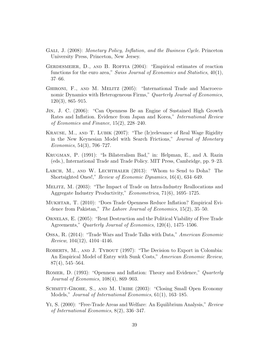- Gali, J. (2008): *Monetary Policy, Inflation, and the Business Cycle*. Princeton University Press, Princeton, New Jersey.
- Gerdesmeier, D., and B. Roffia (2004): "Empirical estimates of reaction functions for the euro area," *Swiss Journal of Economics and Statistics*, 40(1), 37–66.
- GHIRONI, F., AND M. MELITZ (2005): "International Trade and Macroeconomic Dynamics with Heterogeneous Firms," *Quarterly Journal of Economics*, 120(3), 865–915.
- Jin, J. C. (2006): "Can Openness Be an Engine of Sustained High Growth Rates and Inflation. Evidence from Japan and Korea," *International Review of Economics and Finance*, 15(2), 228–240.
- Krause, M., and T. Lubik (2007): "The (Ir)relevance of Real Wage Rigidity in the New Keynesian Model with Search Frictions," *Journal of Monetary Economics*, 54(3), 706–727.
- Krugman, P. (1991): "Is Bilateralism Bad," in: Helpman, E., and A. Razin (eds.), International Trade and Trade Policy. MIT Press, Cambridge, pp. 9–23.
- LARCH, M., AND W. LECHTHALER (2013): "Whom to Send to Doha? The Shortsighted Ones!," *Review of Economic Dynamics*, 16(4), 634–649.
- Melitz, M. (2003): "The Impact of Trade on Intra-Industry Reallocations and Aggregate Industry Productivity," *Econometrica*, 71(6), 1695–1725.
- Mukhtar, T. (2010): "Does Trade Openness Reduce Inflation? Empirical Evidence from Pakistan," *The Lahore Journal of Economics*, 15(2), 35–50.
- Ornelas, E. (2005): "Rent Destruction and the Political Viability of Free Trade Agreements," *Quarterly Journal of Economics*, 120(4), 1475–1506.
- Ossa, R. (2014): "Trade Wars and Trade Talks with Data," *American Economic Review*, 104(12), 4104–4146.
- ROBERTS, M., AND J. TYBOUT (1997): "The Decision to Export in Colombia: An Empirical Model of Entry with Sunk Costs," *American Economic Review*, 87(4), 545–564.
- Romer, D. (1993): "Openness and Inflation: Theory and Evidence," *Quarterly Journal of Economics*, 108(4), 869–903.
- SCHMITT-GROHE, S., AND M. URIBE (2003): "Closing Small Open Economy Models," *Journal of International Economics*, 61(1), 163–185.
- Yi, S. (2000): "Free-Trade Areas and Welfare: An Equilibrium Analysis," *Review of International Economics*, 8(2), 336–347.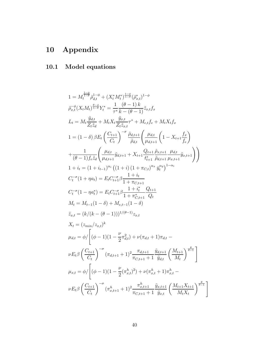# 10 Appendix

## 10.1 Model equations

$$
1 = M_{t}^{\frac{1-\phi}{1-\theta}} \bar{\rho}_{d,t}^{1-\phi} + (X_{t}^{*} M_{t}^{*})^{\frac{1-\phi}{1-\theta}} (\bar{\rho}_{x,t}^{*})^{1-\phi}
$$
\n
$$
\bar{\rho}_{x,t}^{\phi}(X_{t} M_{t})^{\frac{\theta-\phi}{1-\theta}} Y_{t}^{*} = \frac{1}{\tau^{*}} \frac{(\theta-1) k}{k - (\theta-1)} \tilde{z}_{x,t} f_{x}
$$
\n
$$
L_{t} = M_{t} \frac{\tilde{y}_{d,t}}{Z_{t} \tilde{z}_{d}} + M_{t} X_{t} \frac{\tilde{y}_{x,t}}{Z_{t} \tilde{z}_{x,t}} \tau^{*} + M_{e,t} f_{e} + M_{t} X_{t} f_{x}
$$
\n
$$
1 = (1 - \delta) \beta E_{t} \left( \frac{C_{t+1}}{C_{t}} \right)^{-\sigma} \frac{\tilde{\rho}_{d,t+1}}{\tilde{\rho}_{d,t}} \left( \frac{\mu_{d,t}}{\mu_{d,t+1}} \left( 1 - X_{t+1} \frac{f_{x}}{f_{e}} \right)
$$
\n
$$
+ \frac{1}{(\theta-1) f_{e} \tilde{z}_{d}} \left( \frac{\mu_{d,t}}{\mu_{d,t+1}} \tilde{y}_{d,t+1} + X_{t+1} \frac{Q_{t+1}}{t_{t+1}^{*}} \frac{\tilde{\rho}_{d,t+1}}{\tilde{\rho}_{d,t+1}} \frac{\mu_{d,t}}{\mu_{x,t+1}} \tilde{y}_{d,t+1} \right) \right)
$$
\n
$$
1 + i_{t} = (1 + i_{t-1})^{\alpha_{i}} \left( (1 + i) \left( 1 + \pi_{C,t} \right)^{\alpha_{*}} \tilde{y}_{t}^{\alpha_{y}} \right)^{1-\alpha_{i}}
$$
\n
$$
C_{t}^{-\sigma} (1 - \eta a_{t}^{*}) = E_{t} C_{t+1}^{-\sigma} \beta \frac{1 + i_{t}}{1 + \pi_{C,t+1}}
$$
\n
$$
M_{t} = M_{t-1} (1 - \delta) + M_{e,t-1} (1 - \delta)
$$
\n
$$
\tilde{z}_{x,t} = (k/(k - (\theta - 1)))^{1/(\theta-1)} z_{x,t}
$$